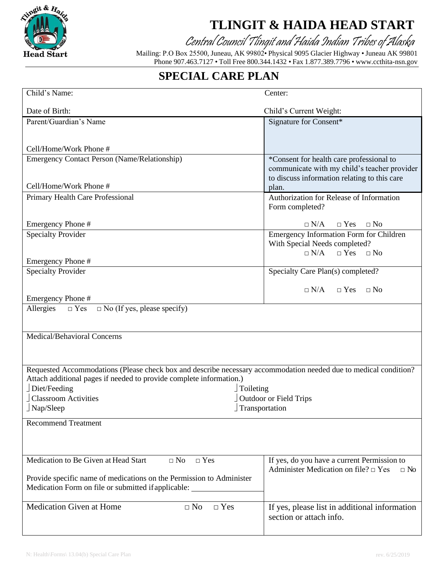

## **TLINGIT & HAIDA HEAD START**

Central Council Tlingit and Haida Indian Tribes of Alaska

Mailing: P.O Box 25500, Juneau, AK 99802• Physical 9095 Glacier Highway •Juneau AK 99801 Phone 907.463.7127 • Toll Free 800.344.1432 • Fax 1.877.389.7796 • [www.ccthita-nsn.gov](http://www.ccthita-nsn.gov/) 

## **SPECIAL CARE PLAN**

| Child's Name:                                                                                                    | Center:                                                                                      |
|------------------------------------------------------------------------------------------------------------------|----------------------------------------------------------------------------------------------|
| Date of Birth:                                                                                                   | Child's Current Weight:                                                                      |
| Parent/Guardian's Name                                                                                           | Signature for Consent*                                                                       |
|                                                                                                                  |                                                                                              |
| Cell/Home/Work Phone #                                                                                           |                                                                                              |
| <b>Emergency Contact Person (Name/Relationship)</b>                                                              | *Consent for health care professional to                                                     |
|                                                                                                                  | communicate with my child's teacher provider<br>to discuss information relating to this care |
| Cell/Home/Work Phone #                                                                                           | plan.                                                                                        |
| Primary Health Care Professional                                                                                 | Authorization for Release of Information                                                     |
|                                                                                                                  | Form completed?                                                                              |
| Emergency Phone #                                                                                                | $\Box$ N/A<br>$\Box$ Yes<br>$\Box$ No                                                        |
| <b>Specialty Provider</b>                                                                                        | <b>Emergency Information Form for Children</b>                                               |
|                                                                                                                  | With Special Needs completed?                                                                |
| Emergency Phone #                                                                                                | $\Box$ Yes $\Box$ No<br>$\Box$ N/A                                                           |
| <b>Specialty Provider</b>                                                                                        | Specialty Care Plan(s) completed?                                                            |
|                                                                                                                  |                                                                                              |
| Emergency Phone #                                                                                                | $\Box$ N/A<br>$\Box$ Yes $\Box$ No                                                           |
| Allergies<br>$\Box$ No (If yes, please specify)<br>$\Box$ Yes                                                    |                                                                                              |
|                                                                                                                  |                                                                                              |
| Medical/Behavioral Concerns                                                                                      |                                                                                              |
|                                                                                                                  |                                                                                              |
|                                                                                                                  |                                                                                              |
| Requested Accommodations (Please check box and describe necessary accommodation needed due to medical condition? |                                                                                              |
| Attach additional pages if needed to provide complete information.)                                              |                                                                                              |
| $\Box$ Diet/Feeding<br>Toileting<br><b>Classroom Activities</b>                                                  |                                                                                              |
| <b>Outdoor or Field Trips</b><br>Nap/Sleep<br>Transportation                                                     |                                                                                              |
| <b>Recommend Treatment</b>                                                                                       |                                                                                              |
|                                                                                                                  |                                                                                              |
|                                                                                                                  |                                                                                              |
| Medication to Be Given at Head Start<br>$\Box$ Yes<br>$\square$ No                                               | If yes, do you have a current Permission to                                                  |
|                                                                                                                  | Administer Medication on file? $\Box$ Yes<br>$\Box$ No                                       |
| Provide specific name of medications on the Permission to Administer                                             |                                                                                              |
| Medication Form on file or submitted if applicable:                                                              |                                                                                              |
| <b>Medication Given at Home</b><br>$\Box$ Yes<br>$\Box$ No                                                       | If yes, please list in additional information                                                |
|                                                                                                                  | section or attach info.                                                                      |
|                                                                                                                  |                                                                                              |